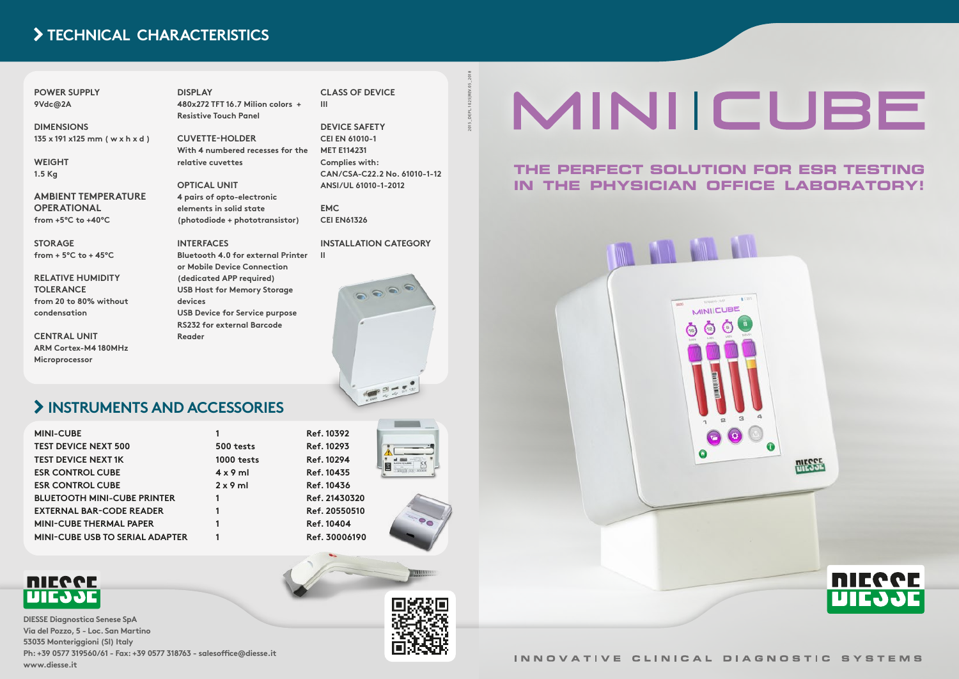#### **THE PERFECT SOLUTION FOR ESR TESTING IN THE PHYSICIAN OFFICE LABORATORY!**



2015\_DEPL.1025|REV.05\_2018

# MINIICUBE

#### **POWER SUPPLY 9Vdc@2A**

**DIMENSIONS 135 x 191 x125 mm ( w x h x d )**

**WEIGHT 1.5 Kg**

**AMBIENT TEMPERATURE OPERATIONAL from +5°C to +40°C**

**STORAGE from + 5°C to + 45°C**

**RELATIVE HUMIDITY TOLERANCE from 20 to 80% without condensation**

**CENTRAL UNIT ARM Cortex-M4 180MHz Microprocessor** 

**DISPLAY 480x272 TFT 16.7 Milion colors +** 

**Resistive Touch Panel**

**CUVETTE-HOLDER With 4 numbered recesses for the relative cuvettes**

**OPTICAL UNIT 4 pairs of opto-electronic elements in solid state (photodiode + phototransistor)**

#### **INTERFACES**

**Bluetooth 4.0 for external Printer or Mobile Device Connection (dedicated APP required) USB Host for Memory Storage devices USB Device for Service purpose RS232 for external Barcode Reader**

**CLASS OF DEVICE III**

**DEVICE SAFETY CEI EN 61010-1 MET E114231 Complies with: CAN/CSA-C22.2 No. 61010-1-12 ANSI/UL 61010-1-2012**

**EMC CEI EN61326**

**INSTALLATION CATEGORY**

 $\odot$ 

**II**

**DIESSE Diagnostica Senese SpA Via del Pozzo, 5 - Loc. San Martino 53035 Monteriggioni (SI) Italy Ph: +39 0577 319560/61 - Fax: +39 0577 318763 - salesoffice@diesse.it www.diesse.it**



INNOVATIVE CLINICAL DIAGNOSTIC SYSTEMS



## **INSTRUMENTS AND ACCESSORIES**

| <b>MINI-CUBE</b>                       |                   |
|----------------------------------------|-------------------|
| <b>TEST DEVICE NEXT 500</b>            | 500 tests         |
| <b>TEST DEVICE NEXT 1K</b>             | <b>1000 tests</b> |
| <b>ESR CONTROL CUBE</b>                | $4 \times 9$ ml   |
| <b>ESR CONTROL CUBE</b>                | $2 \times 9$ ml   |
| <b>BLUETOOTH MINI-CUBE PRINTER</b>     | 1                 |
| <b>EXTERNAL BAR-CODE READER</b>        | 1                 |
| <b>MINI-CUBE THERMAL PAPER</b>         | 1                 |
| <b>MINI-CUBE USB TO SERIAL ADAPTER</b> |                   |
|                                        |                   |







## **TECHNICAL CHARACTERISTICS**